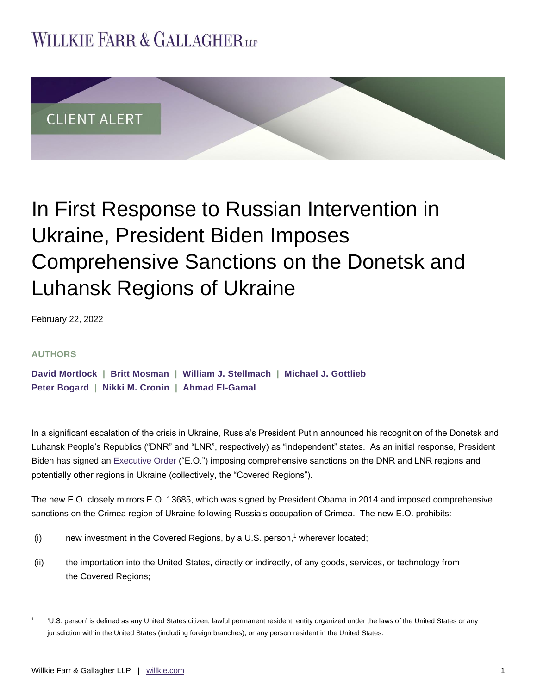## **WILLKIE FARR & GALLAGHERUP**



# In First Response to Russian Intervention in Ukraine, President Biden Imposes Comprehensive Sanctions on the Donetsk and Luhansk Regions of Ukraine

February 22, 2022

#### **AUTHORS**

**[David Mortlock](https://www.willkie.com/professionals/m/mortlock-david) | [Britt Mosman](https://www.willkie.com/professionals/m/mosman-britt) | [William J. Stellmach](https://www.willkie.com/professionals/s/stellmach-william) | [Michael J. Gottlieb](https://www.willkie.com/professionals/g/gottlieb-michael) [Peter Bogard](https://www.willkie.com/professionals/b/bogard-peter) | [Nikki M. Cronin](https://www.willkie.com/professionals/c/cronin-nikki) | [Ahmad El-Gamal](https://www.willkie.com/professionals/e/el-gamal-ahmad)** 

In a significant escalation of the crisis in Ukraine, Russia's President Putin announced his recognition of the Donetsk and Luhansk People's Republics ("DNR" and "LNR", respectively) as "independent" states. As an initial response, President Biden has signed an **Executive Order ("E.O.")** imposing comprehensive sanctions on the DNR and LNR regions and potentially other regions in Ukraine (collectively, the "Covered Regions").

The new E.O. closely mirrors E.O. 13685, which was signed by President Obama in 2014 and imposed comprehensive sanctions on the Crimea region of Ukraine following Russia's occupation of Crimea. The new E.O. prohibits:

- (i) new investment in the Covered Regions, by a U.S. person,<sup>1</sup> wherever located;
- (ii) the importation into the United States, directly or indirectly, of any goods, services, or technology from the Covered Regions;

<sup>1</sup> 'U.S. person' is defined as any United States citizen, lawful permanent resident, entity organized under the laws of the United States or any jurisdiction within the United States (including foreign branches), or any person resident in the United States.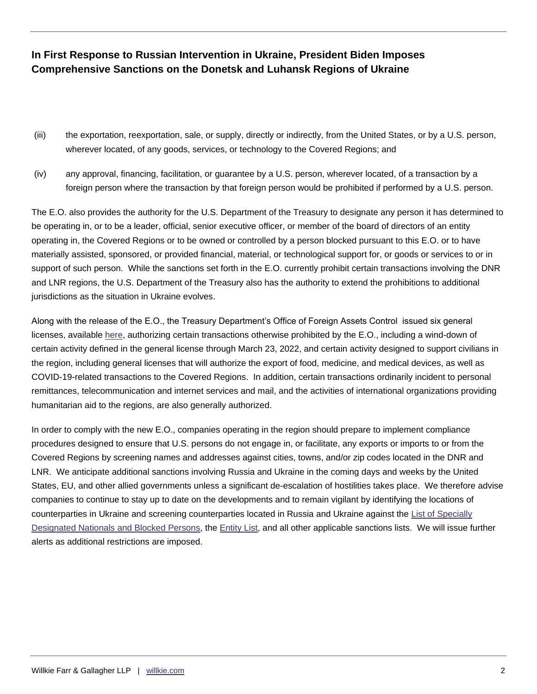## **In First Response to Russian Intervention in Ukraine, President Biden Imposes Comprehensive Sanctions on the Donetsk and Luhansk Regions of Ukraine**

- (iii) the exportation, reexportation, sale, or supply, directly or indirectly, from the United States, or by a U.S. person, wherever located, of any goods, services, or technology to the Covered Regions; and
- (iv) any approval, financing, facilitation, or guarantee by a U.S. person, wherever located, of a transaction by a foreign person where the transaction by that foreign person would be prohibited if performed by a U.S. person.

The E.O. also provides the authority for the U.S. Department of the Treasury to designate any person it has determined to be operating in, or to be a leader, official, senior executive officer, or member of the board of directors of an entity operating in, the Covered Regions or to be owned or controlled by a person blocked pursuant to this E.O. or to have materially assisted, sponsored, or provided financial, material, or technological support for, or goods or services to or in support of such person. While the sanctions set forth in the E.O. currently prohibit certain transactions involving the DNR and LNR regions, the U.S. Department of the Treasury also has the authority to extend the prohibitions to additional jurisdictions as the situation in Ukraine evolves.

Along with the release of the E.O., the Treasury Department's Office of Foreign Assets Control issued six general licenses, available [here,](https://home.treasury.gov/policy-issues/financial-sanctions/recent-actions/20220221_33) authorizing certain transactions otherwise prohibited by the E.O., including a wind-down of certain activity defined in the general license through March 23, 2022, and certain activity designed to support civilians in the region, including general licenses that will authorize the export of food, medicine, and medical devices, as well as COVID-19-related transactions to the Covered Regions. In addition, certain transactions ordinarily incident to personal remittances, telecommunication and internet services and mail, and the activities of international organizations providing humanitarian aid to the regions, are also generally authorized.

In order to comply with the new E.O., companies operating in the region should prepare to implement compliance procedures designed to ensure that U.S. persons do not engage in, or facilitate, any exports or imports to or from the Covered Regions by screening names and addresses against cities, towns, and/or zip codes located in the DNR and LNR. We anticipate additional sanctions involving Russia and Ukraine in the coming days and weeks by the United States, EU, and other allied governments unless a significant de-escalation of hostilities takes place. We therefore advise companies to continue to stay up to date on the developments and to remain vigilant by identifying the locations of counterparties in Ukraine and screening counterparties located in Russia and Ukraine against the [List of Specially](https://sanctionssearch.ofac.treas.gov/)  [Designated Nationals and Blocked Persons,](https://sanctionssearch.ofac.treas.gov/) the [Entity List,](https://www.bis.doc.gov/index.php/documents/regulations-docs/2326-supplement-no-4-to-part-744-entity-list-4/file) and all other applicable sanctions lists. We will issue further alerts as additional restrictions are imposed.